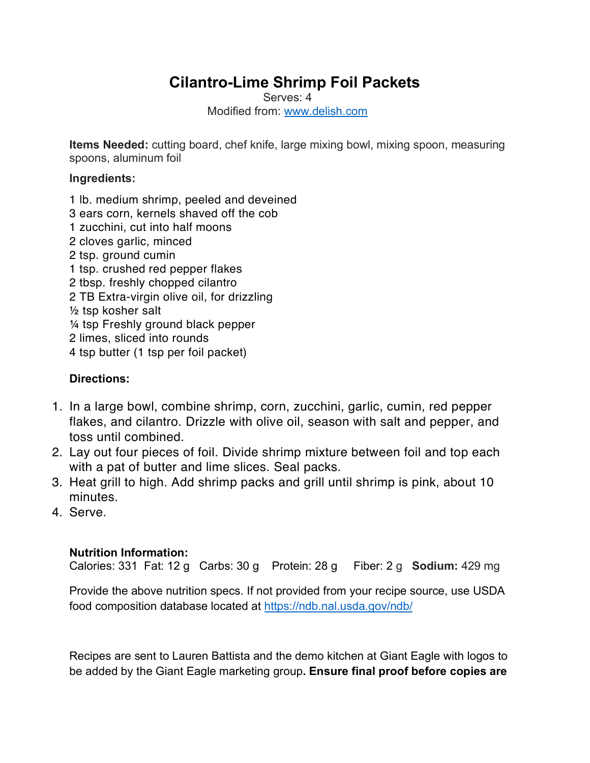## **Cilantro-Lime Shrimp Foil Packets**

Serves: 4 Modified from: www.delish.com

**Items Needed:** cutting board, chef knife, large mixing bowl, mixing spoon, measuring spoons, aluminum foil

## **Ingredients:**

- 1 lb. medium shrimp, peeled and deveined
- 3 ears corn, kernels shaved off the cob
- 1 zucchini, cut into half moons
- 2 cloves garlic, minced
- 2 tsp. ground cumin
- 1 tsp. crushed red pepper flakes
- 2 tbsp. freshly chopped cilantro
- 2 TB Extra-virgin olive oil, for drizzling
- ½ tsp kosher salt
- ¼ tsp Freshly ground black pepper
- 2 limes, sliced into rounds
- 4 tsp butter (1 tsp per foil packet)

## **Directions:**

- 1. In a large bowl, combine shrimp, corn, zucchini, garlic, cumin, red pepper flakes, and cilantro. Drizzle with olive oil, season with salt and pepper, and toss until combined.
- 2. Lay out four pieces of foil. Divide shrimp mixture between foil and top each with a pat of butter and lime slices. Seal packs.
- 3. Heat grill to high. Add shrimp packs and grill until shrimp is pink, about 10 minutes.
- 4. Serve.

## **Nutrition Information:**

Calories: 331 Fat: 12 g Carbs: 30 g Protein: 28 g Fiber: 2 g **Sodium:** 429 mg

Provide the above nutrition specs. If not provided from your recipe source, use USDA food composition database located at https://ndb.nal.usda.gov/ndb/

Recipes are sent to Lauren Battista and the demo kitchen at Giant Eagle with logos to be added by the Giant Eagle marketing group**. Ensure final proof before copies are**